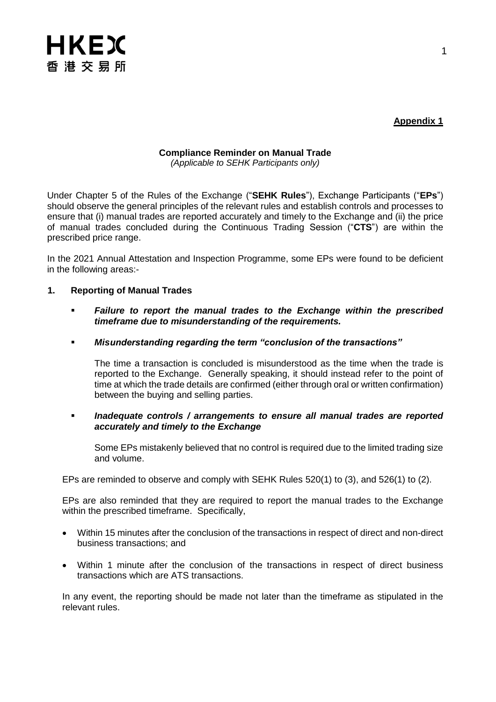

**Appendix 1**

## **Compliance Reminder on Manual Trade** *(Applicable to SEHK Participants only)*

Under Chapter 5 of the Rules of the Exchange ("**SEHK Rules**"), Exchange Participants ("**EPs**") should observe the general principles of the relevant rules and establish controls and processes to ensure that (i) manual trades are reported accurately and timely to the Exchange and (ii) the price of manual trades concluded during the Continuous Trading Session ("**CTS**") are within the prescribed price range.

In the 2021 Annual Attestation and Inspection Programme, some EPs were found to be deficient in the following areas:-

- **1. Reporting of Manual Trades**
	- *Failure to report the manual trades to the Exchange within the prescribed timeframe due to misunderstanding of the requirements.*
	- *Misunderstanding regarding the term "conclusion of the transactions"*

The time a transaction is concluded is misunderstood as the time when the trade is reported to the Exchange. Generally speaking, it should instead refer to the point of time at which the trade details are confirmed (either through oral or written confirmation) between the buying and selling parties.

 *Inadequate controls / arrangements to ensure all manual trades are reported accurately and timely to the Exchange*

Some EPs mistakenly believed that no control is required due to the limited trading size and volume.

EPs are reminded to observe and comply with SEHK Rules 520(1) to (3), and 526(1) to (2).

EPs are also reminded that they are required to report the manual trades to the Exchange within the prescribed timeframe. Specifically,

- Within 15 minutes after the conclusion of the transactions in respect of direct and non-direct business transactions; and
- Within 1 minute after the conclusion of the transactions in respect of direct business transactions which are ATS transactions.

In any event, the reporting should be made not later than the timeframe as stipulated in the relevant rules.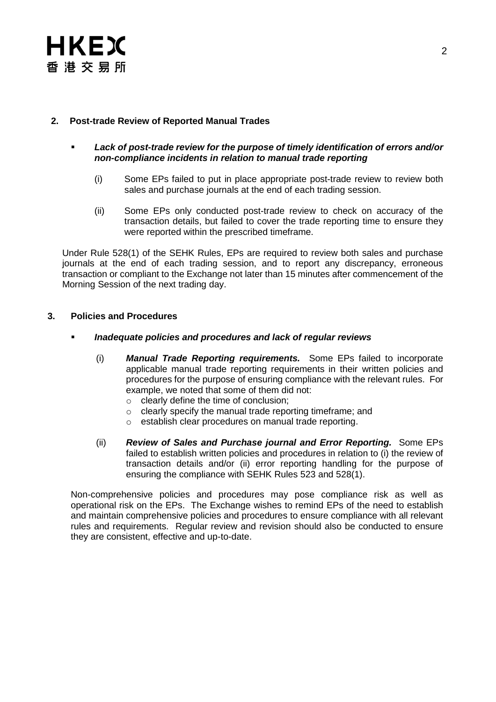

## **2. Post-trade Review of Reported Manual Trades**

- *Lack of post-trade review for the purpose of timely identification of errors and/or non-compliance incidents in relation to manual trade reporting* 
	- (i) Some EPs failed to put in place appropriate post-trade review to review both sales and purchase journals at the end of each trading session.
	- (ii) Some EPs only conducted post-trade review to check on accuracy of the transaction details, but failed to cover the trade reporting time to ensure they were reported within the prescribed timeframe.

Under Rule 528(1) of the SEHK Rules, EPs are required to review both sales and purchase journals at the end of each trading session, and to report any discrepancy, erroneous transaction or compliant to the Exchange not later than 15 minutes after commencement of the Morning Session of the next trading day.

## **3. Policies and Procedures**

- *Inadequate policies and procedures and lack of regular reviews*
	- (i) *Manual Trade Reporting requirements.* Some EPs failed to incorporate applicable manual trade reporting requirements in their written policies and procedures for the purpose of ensuring compliance with the relevant rules. For example, we noted that some of them did not:
		- o clearly define the time of conclusion;
		- o clearly specify the manual trade reporting timeframe; and
		- o establish clear procedures on manual trade reporting.
	- (ii) *Review of Sales and Purchase journal and Error Reporting.* Some EPs failed to establish written policies and procedures in relation to (i) the review of transaction details and/or (ii) error reporting handling for the purpose of ensuring the compliance with SEHK Rules 523 and 528(1).

Non-comprehensive policies and procedures may pose compliance risk as well as operational risk on the EPs. The Exchange wishes to remind EPs of the need to establish and maintain comprehensive policies and procedures to ensure compliance with all relevant rules and requirements. Regular review and revision should also be conducted to ensure they are consistent, effective and up-to-date.